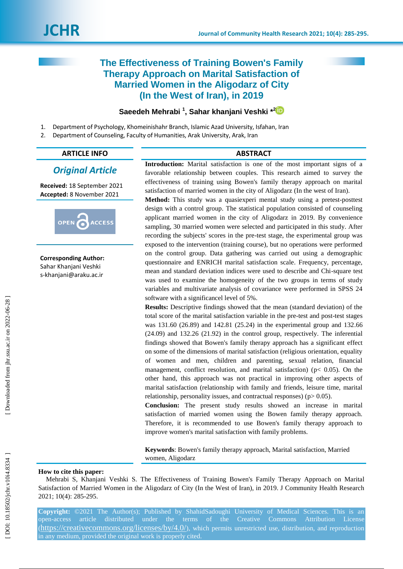# **The Effectiveness of Training Bowen's Family Therapy Approach on Marital Satisfaction of Married Women in the Aligodarz of City (In the West of Iran), in 2019**

## **Saeedeh Mehrabi 1 , Sahar khanjani Veshki \* 2**

- 1 . Department of Psychology, Khomeinishahr Branch, Islamic Azad University, Isfahan, Iran
- 2. . Department of Counseling, Faculty of Humanities, Arak University, Arak, Iran

#### **ARTICLE INFO ABSTRACT**

## *Original Article*

**Received:** 18 September 2021 **Accepted:** 8 November 2021



**Corresponding Author:** Sahar Khanjani Veshki s-khanjani@araku.ac.ir

**Introduction :** Marital satisfaction is one of the most important signs of a favorable relationship between couples. This research aimed to survey the effectiveness of training using Bowen's family therapy approach on marital satisfaction of married women in the city of Aligodarz (In the west of Iran).

**Method:** This study was a quasiexperi mental study using a pretest-posttest design with a control group. The statistical population consisted of counseling applicant married women in the city of Aligodarz in 2019. By convenience sampling, 30 married women were selected and participated in this study. After recording the subjects' scores in the pre -test stage, the experimental group was exposed to the intervention (training course), but no operations were performed on the control group. Data gathering was carried out using a demographic questionnaire and ENRICH marital satisfaction scale. Frequency, percentage, mean and standard deviation indices were used to describe and Chi -square test was used to examine the homogeneity of the two groups in terms of study variables and multivariate analysis of covariance were performed in SPSS 24 software with a significancel level of 5%.

**Results:** Descriptive findings showed that the mean (standard deviation) of the total score of the marital satisfaction variable in the pre -test and post -test stages was 131 .60 (26 .89) and 142 .81 (25 .24) in the experimental group and 132 .66 (24 .09) and 132 .26 (21 .92) in the control group, respectively. The inferential findings showed that Bowen's family therapy approach has a significant effect on some of the dimensions of marital satisfaction (religious orientation, equality of women and men, children and parenting, sexual relation, financial management, conflict resolution, and marital satisfaction) ( $p$ < 0.05). On the other hand, this approach was not practical in improving other aspects of marital satisfaction (relationship with family and friends, leisure time, marital relationship, personality issues, and contractual responses) ( $p$  > 0.05).

**Conclusion:** The present study results showed an increase in marital satisfaction of married women using the Bowen family therapy approach. Therefore, it is recommended to use Bowen's family therapy approach to improve women's marital satisfaction with family problems.

**Keywords**: Bowen's family therapy approach, Marital satisfaction, Married women, Aligodarz

## **How to cite this paper:**

Mehrabi S, Khanjani Veshki S. The Effectiveness of Training Bowen's Family Therapy Approach on Marital Satisfaction of Married Women in the Aligodarz of City (In the West of Iran), in 2019. J Community Health Research 2021; 10( 4): 285 -295 .

**Copyright:** ©2021 The Author(s); Published by ShahidSadoughi University of Medical Sciences. This is an open-access article distributed under the terms of the Creative Commons Attribution License (https://creativecommons.org/licenses/by/4.0/), which permits unrestricted use, distribution, and reproduction in any medium, provided the original work is properly cited.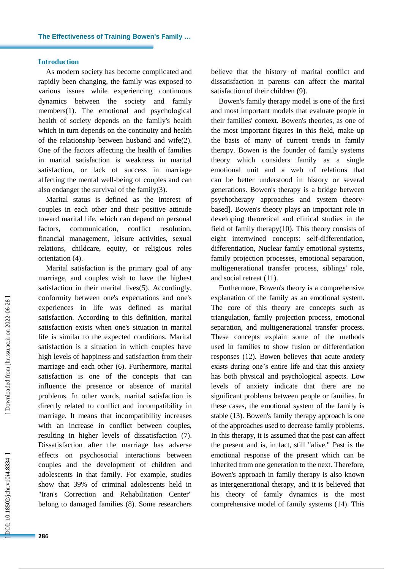#### **Introduction**

As modern society has become complicated and rapidly been changing, the family was exposed to various issues while experiencing continuous dynamics between the society and family members(1). The emotional and psychological health of society depends on the family's health which in turn depends on the continuity and health of the relationship between husband and wife(2) . One of the factors affecting the health of families in marital satisfaction is weakness in marital satisfaction, or lack of success in marriage affecting the mental well -being of couples and can also endanger the survival of the family(3) .

Marital status is defined as the interest of couples in each other and their positive attitude toward marital life, which can depend on personal factors, communication, conflict resolution, financial management, leisure activities, sexual relations, childcare, equity, or religious roles orientation (4).

Marital satisfaction is the primary goal of any marriage, and couples wish to have the highest satisfaction in their marital lives(5). Accordingly, conformity between one's expectations and one's experiences in life was defined as marital satisfaction. According to this definition, marital satisfaction exists when one's situation in marital life is similar to the expected conditions. Marital satisfaction is a situation in which couples have high levels of happiness and satisfaction from their marriage and each other (6). Furthermore, marital satisfaction is one of the concepts that can influence the presence or absence of marital problems. In other words, marital satisfaction is directly related to conflict and incompatibility in marriage. It means that incompatibility increases with an increase in conflict between couples, resulting in higher levels of dissatisfaction (7). Dissatisfaction after the marriage has adverse effects on psychosocial interactions between couples and the development of children and adolescents in that family. For example, studies show that 39% of criminal adolescents held in "Iran's Correction and Rehabilitation Center" belong to damaged families (8). Some researchers believe that the history of marital conflict and dissatisfaction in parents can affect the marital satisfaction of their children (9).

Bowen's family therapy model is one of the first and most important models that evaluate people in their families' context. Bowen's theories, as one of the most important figures in this field, make up the basis of many of current trends in family therapy. Bowen is the founder of family systems theory which considers family as a single emotional unit and a web of relations that can be better understood in history or several generations. Bowen's therapy is a bridge between psychotherapy approaches and system theory based]. Bowen's theory plays an important role in developing theoretical and clinical studies in the field of family therapy $(10)$ . This theory consists of eight intertwined concepts: self-differentiation, differentiation, Nuclear family emotional systems, family projection processes, emotional separation, multigenerational transfer process, siblings' role, and social retreat (11) .

Furthermore, Bowen's theory is a comprehensive explanation of the family as an emotional system. The core of this theory are concepts such as triangulation, family projection process, emotional separation, and multigenerational transfer process. These concepts explain some of the methods used in families to show fusion or differentiation responses (12). Bowen believes that acute anxiety exists during one's entire life and that this anxiety has both physical and psychological aspects. Low levels of anxiety indicate that there are no significant problems between people or families. In these cases, the emotional system of the family is stable (13) . Bowen's family therapy approach is one of the approaches used to decrease family problems. In this therapy, it is assumed that the past can affect the present and is, in fact, still "alive." Past is the emotional response of the present which can be inherited from one generation to the next. Therefore, Bowen's approach in family therapy is also known as intergenerational therapy, and it is believed that his theory of family dynamics is the most comprehensive model of family systems (14). This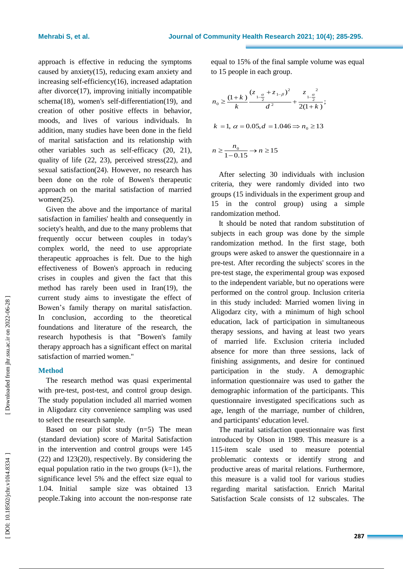approach is effective in reducing the symptoms caused by anxiety(15) , reducing exam anxiety and increasing self-efficiency(16), increased adaptation after divorce(17), improving initially incompatible schema(18), women's self-differentiation(19), and creation of other positive effects in behavior, moods, and lives of various individuals. In addition, many studies have been done in the field of marital satisfaction and its relationship with other variables such as self -efficacy (20, 21), quality of life (22, 23), perceived stress(22), and sexual satisfaction(24). However, no research has been done on the role of Bowen's therapeutic approach on the marital satisfaction of married women(25) .

Given the above and the importance of marital satisfaction in families' health and consequently in society's health, and due to the many problems that frequently occur between couples in today's complex world, the need to use appropriate therapeutic approaches is felt. Due to the high effectiveness of Bowen's approach in reducing crises in couples and given the fact that this method has rarely been used in Iran(19) , the current study aims to investigate the effect of Bowen's family therapy on marital satisfaction. In conclusion, according to the theoretical foundations and literature of the research, the research hypothesis is that "Bowen's family therapy approach has a significant effect on marital satisfaction of married women."

## **Method**

The research method was quasi experimental with pre -test, post -test, and control group design. The study population included all married women in Aligodarz city convenience sampling was used to select the research sample.

Based on our pilot study  $(n=5)$  The mean (standard deviation) score of Marital Satisfaction in the intervention and control groups were 145 (22) and 123(20), respectively. By considering the equal population ratio in the two groups  $(k=1)$ , the significance level 5% and the effect size equal to 1.04. Initial sample size was obtained 13 people.Taking into account the non -response rate equal to 15% of the final sample volume was equal to 15 people in each group .

$$
n_0 \ge \frac{(1+k)}{k} \frac{(z_{1-\frac{\alpha}{2}} + z_{1-\beta})^2}{d^2} + \frac{z_{1-\frac{\alpha}{2}}^2}{2(1+k)};
$$
  
\n
$$
k = 1, \ \alpha = 0.05, d = 1.046 \Rightarrow n_0 \ge 13
$$
  
\n
$$
n \ge \frac{n_0}{1-0.15} \to n \ge 15
$$

After selecting 30 individuals with inclusion criteria, they were randomly divided into two groups (15 individuals in the experiment group and 15 in the control group) using a simple randomization method .

It should be noted that random substitution of subjects in each group was done by the simple randomization method. In the first stage, both groups were asked to answer the questionnaire in a pre -test. After recording the subjects' scores in the pre -test stage, the experimental group was exposed to the independent variable, but no operations were performed on the control group. Inclusion criteria in this study included: Married women living in Aligodarz city, with a minimum of high school education, lack of participation in simultaneous therapy sessions, and having at least two years of married life. Exclusion criteria included absence for more than three sessions, lack of finishing assignments, and desire for continued participation in the study. A demographic information questionnaire was used to gather the demographic information of the participants. This questionnaire investigated specifications such as age, length of the marriage, number of children, and participants' education level.

The marital satisfaction questionnaire was first introduced by Olson in 1989. This measure is a 115 -item scale used to measure potential problematic contexts or identify strong and productive areas of marital relations. Furthermore, this measure is a valid tool for various studies regarding marital satisfaction. Enrich Marital Satisfaction Scale consists of 12 subscales. The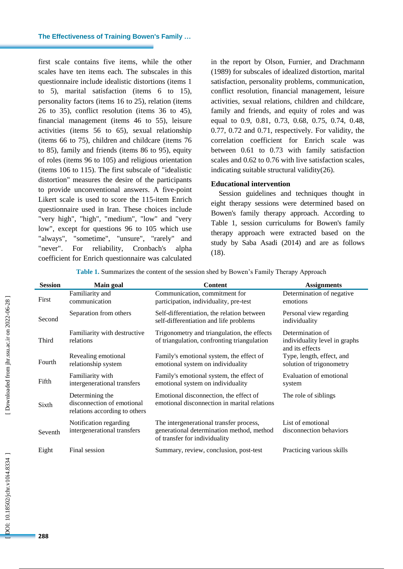first scale contains five items, while the other scales have ten items each. The subscales in this questionnaire include idealistic distortions (items 1 to 5), marital satisfaction (items 6 to 15), personality factors (items 16 to 25), relation (items 26 to 35), conflict resolution (items 36 to 45), financial management (items 46 to 55), leisure activities (items 56 to 65), sexual relationship (items 66 to 75), children and childcare (items 76 to 85), family and friends (items 86 to 95), equity of roles (items 96 to 105) and religious orientation (items 106 to 115). The first subscale of "idealistic distortion" measures the desire of the participants to provide unconventional answers. A five -point Likert scale is used to score the 115 -item Enrich questionnaire used in Iran. These choices include "very high", "high", "medium", "low" and "very low", except for questions 96 to 105 which use "always", "sometime", "unsure", "rarely" and "never". For reliability, Cronbach's alpha coefficient for Enrich questionnaire was calculated

in the report by Olson, Furnier, and Drachmann (1989) for subscales of idealized distortion, marital satisfaction , personality problems, communication, conflict resolution, financial management, leisure activities, sexual relations, children and childcare, family and friends, and equity of roles and was equal to 0.9, 0.81, 0.73, 0.68, 0.75, 0.74, 0.48, 0.77, 0.72 and 0.71, respectively. For validity, the correlation coefficient for Enrich scale was between 0. 61 to 0.73 with family satisfaction scales and 0.62 to 0.76 with live satisfaction scales, indicating suitable structural validity(26) .

#### **Educational intervention**

Session guidelines and techniques thought in eight therapy sessions were determined based on Bowen's family therapy approach. According to Table 1, session curriculums for Bowen's family therapy approach were extracted based on the study by Saba Asadi (2014) and are as follows (18).

**Table 1 .** Summarizes the content of the session shed by Bowen's Family Therapy Approach

| <b>Session</b> | Main goal                                                                      | Content                                                                                                               | <b>Assignments</b>                                                   |
|----------------|--------------------------------------------------------------------------------|-----------------------------------------------------------------------------------------------------------------------|----------------------------------------------------------------------|
| First          | Familiarity and<br>communication                                               | Communication, commitment for<br>participation, individuality, pre-test                                               | Determination of negative<br>emotions                                |
| Second         | Separation from others                                                         | Self-differentiation, the relation between<br>self-differentiation and life problems                                  | Personal view regarding<br>individuality                             |
| Third          | Familiarity with destructive<br>relations                                      | Trigonometry and triangulation, the effects<br>of triangulation, confronting triangulation                            | Determination of<br>individuality level in graphs<br>and its effects |
| Fourth         | Revealing emotional<br>relationship system                                     | Family's emotional system, the effect of<br>emotional system on individuality                                         | Type, length, effect, and<br>solution of trigonometry                |
| Fifth          | Familiarity with<br>intergenerational transfers                                | Family's emotional system, the effect of<br>emotional system on individuality                                         | Evaluation of emotional<br>system                                    |
| Sixth          | Determining the<br>disconnection of emotional<br>relations according to others | Emotional disconnection, the effect of<br>emotional disconnection in marital relations                                | The role of siblings                                                 |
| Seventh        | Notification regarding<br>intergenerational transfers                          | The intergenerational transfer process,<br>generational determination method, method<br>of transfer for individuality | List of emotional<br>disconnection behaviors                         |
| Eight          | Final session                                                                  | Summary, review, conclusion, post-test                                                                                | Practicing various skills                                            |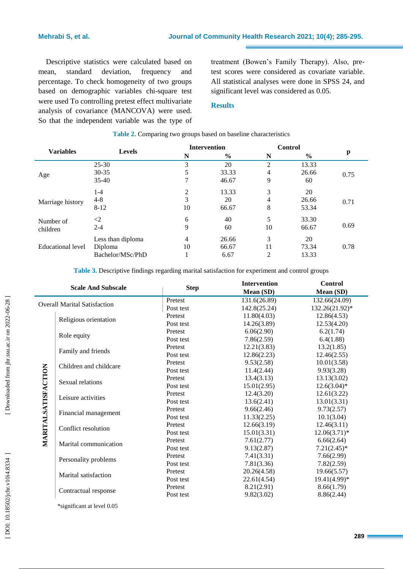Descriptive statistics were calculated based on mean, standard deviation, frequency and percentage. To check homogeneity of two groups based o n demographic variables chi -square test were used To controlling pretest effect multivariate analysis of covariance (MANCOVA) were used. So that the independent variable was the type of

treatment (Bowen's Family Therapy). Also, pre test scores were considered as covariate variable . All statistical analys es were done in SPSS 24, and significant level was considered as 0.05.

## **Results**

|                   | <b>Levels</b>     |    | <b>Intervention</b> | Control        |               |      |  |
|-------------------|-------------------|----|---------------------|----------------|---------------|------|--|
| <b>Variables</b>  |                   | N  | $\frac{6}{6}$       | N              | $\frac{0}{0}$ | p    |  |
|                   | $25 - 30$         | 3  | 20                  | $\overline{2}$ | 13.33         |      |  |
| Age               | $30 - 35$         | 5  | 33.33               | 4              | 26.66         | 0.75 |  |
|                   | $35 - 40$         |    | 46.67               | 9              | 60            |      |  |
|                   | $1 - 4$           | 2  | 13.33               | 3              | 20            |      |  |
| Marriage history  | $4 - 8$           | 3  | 20                  | 4              | 26.66         | 0.71 |  |
|                   | $8 - 12$          | 10 | 66.67               | 8              | 53.34         |      |  |
| Number of         | $\leq$            | 6  | 40                  | 5              | 33.30         |      |  |
| children          | $2 - 4$           | 9  | 60                  | 10             | 66.67         | 0.69 |  |
|                   | Less than diploma | 4  | 26.66               | 3              | 20            |      |  |
| Educational level | Diploma           | 10 | 66.67               | 11             | 73.34         | 0.78 |  |
|                   | Bachelor/MSc/PhD  |    | 6.67                | $\overline{2}$ | 13.33         |      |  |

#### **Table 2.** Comparing two groups based on baseline characteristics

**Table 3 .** Descriptive findings regarding marital satisfaction for experiment and control groups

| Pretest<br>Post test<br>Pretest<br>Post test | 131.6(26.89)<br>142.8(25.24) | 132.66(24.09)<br>132.26(21.92)* |
|----------------------------------------------|------------------------------|---------------------------------|
|                                              |                              |                                 |
|                                              |                              |                                 |
|                                              | 11.80(4.03)                  | 12.86(4.53)                     |
|                                              | 14.26(3.89)                  | 12.53(4.20)                     |
| Pretest                                      | 6.06(2.90)                   | 6.2(1.74)                       |
| Post test                                    | 7.86(2.59)                   | 6.4(1.88)                       |
| Pretest                                      | 12.21(3.83)                  | 13.2(1.85)                      |
| Post test                                    | 12.86(2.23)                  | 12.46(2.55)                     |
| Pretest                                      | 9.53(2.58)                   | 10.01(3.58)                     |
| Post test                                    | 11.4(2.44)                   | 9.93(3.28)                      |
| Pretest                                      | 13.4(3.13)                   | 13.13(3.02)                     |
| Post test                                    | 15.01(2.95)                  | $12.6(3.04)^*$                  |
| Pretest                                      | 12.4(3.20)                   | 12.61(3.22)                     |
| Post test                                    | 13.6(2.41)                   | 13.01(3.31)                     |
| Pretest                                      | 9.66(2.46)                   | 9.73(2.57)                      |
| Post test                                    | 11.33(2.25)                  | 10.1(3.04)                      |
| Pretest                                      | 12.66(3.19)                  | 12.46(3.11)                     |
| Post test                                    | 15.01(3.31)                  | $12.06(3.71)*$                  |
| Pretest                                      | 7.61(2.77)                   | 6.66(2.64)                      |
| Post test                                    | 9.13(2.87)                   | $7.21(2.45)^*$                  |
| Pretest                                      | 7.41(3.31)                   | 7.66(2.99)                      |
| Post test                                    | 7.81(3.36)                   | 7.82(2.59)                      |
| Pretest                                      | 20.26(4.58)                  | 19.66(5.57)                     |
| Post test                                    | 22.61(4.54)                  | $19.41(4.99)*$                  |
| Pretest                                      | 8.21(2.91)                   | 8.66(1.79)                      |
| Post test                                    | 9.82(3.02)                   | 8.86(2.44)                      |
|                                              |                              |                                 |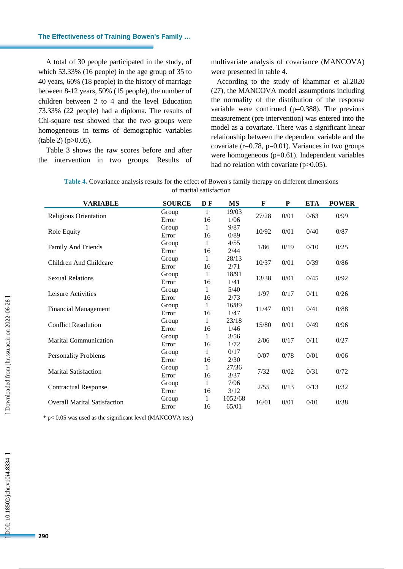A total of 30 people participated in the study, of which 53.33% (16 people) in the age group of 35 to 40 years, 60% (18 people) in the history of marriage between 8 -12 years, 50% (15 people), the number of children between 2 to 4 and the level Education 73.33% (22 people) had a diploma. The results of Chi -square test showed that the two groups were homogeneous in terms of demographic variables  $(table 2) (p > 0.05)$ .

Table 3 shows the raw scores before and after the intervention in two groups. Results of multivariate analysis of covariance (MANCOVA) were presented in table 4 .

According to the study of khammar et al.2020 (27), the MANCOVA model assumptions including the normality of the distribution of the response variable were confirmed (p=0.388). The previous measurement (pre intervention) was entered into the model as a covariate. There was a significant linear relationship between the dependent variable and the covariate  $(r=0.78, p=0.01)$ . Variances in two groups were homogeneous (p=0.61). Independent variables had no relation with covariate (p>0.05).

| Table 4. Covariance analysis results for the effect of Bowen's family therapy on different dimensions |  |
|-------------------------------------------------------------------------------------------------------|--|
| of marital satisfaction                                                                               |  |

| <b>VARIABLE</b>                     | <b>SOURCE</b> | D F         | <b>MS</b> | $\mathbf{F}$ | P    | <b>ETA</b> | <b>POWER</b> |
|-------------------------------------|---------------|-------------|-----------|--------------|------|------------|--------------|
|                                     | Group         | 1           | 19/03     | 27/28        | 0/01 | 0/63       |              |
| Religious Orientation               | Error         | 16          | 1/06      |              |      |            | 0/99         |
|                                     | Group         | 1           | 9/87      | 10/92        | 0/01 | 0/40       | 0/87         |
| Role Equity                         | Error         | 16          | 0/89      |              |      |            |              |
|                                     | Group         | 1           | 4/55      | 1/86         | 0/19 | 0/10       | 0/25         |
| Family And Friends                  | Error         | 16          | 2/44      |              |      |            |              |
|                                     | Group         | 1           | 28/13     |              | 0/01 | 0/39       | 0/86         |
| Children And Childcare              | Error         | 16          | 2/71      | 10/37        |      |            |              |
|                                     | Group         | 1           | 18/91     | 13/38        | 0/01 | 0/45       | 0/92         |
| <b>Sexual Relations</b>             | Error         | 16          | 1/41      |              |      |            |              |
| Leisure Activities                  | Group         | 1           | 5/40      | 1/97         | 0/17 | 0/11       | 0/26         |
|                                     | Error         | 16          | 2/73      |              |      |            |              |
|                                     | Group         | 1           | 16/89     | 11/47        | 0/01 | 0/41       | 0/88         |
| <b>Financial Management</b>         | Error         | 16          | 1/47      |              |      |            |              |
| <b>Conflict Resolution</b>          | Group         | 1           | 23/18     |              | 0/01 | 0/49       | 0/96         |
|                                     | Error         | 16          | 1/46      | 15/80        |      |            |              |
| <b>Marital Communication</b>        | Group         | 1           | 3/56      | 2/06         | 0/17 | 0/11       | 0/27         |
|                                     | Error         | 16          | 1/72      |              |      |            |              |
|                                     | Group         | 1           | 0/17      | 0/07         | 0/78 | 0/01       | 0/06         |
| <b>Personality Problems</b>         | Error         | 16          | 2/30      |              |      |            |              |
|                                     | Group         | $\mathbf 1$ | 27/36     | 7/32         | 0/02 | 0/31       | 0/72         |
| <b>Marital Satisfaction</b>         | Error         | 16          | 3/37      |              |      |            |              |
|                                     | Group         | 1           | 7/96      | 2/55         | 0/13 | 0/13       | 0/32         |
| <b>Contractual Response</b>         | Error         | 16          | 3/12      |              |      |            |              |
|                                     | Group         | 1           | 1052/68   | 16/01        | 0/01 |            | 0/38         |
| <b>Overall Marital Satisfaction</b> | Error         | 16          | 65/01     |              |      | 0/01       |              |

\* p< 0.05 was used as the significant level (MANCOVA test)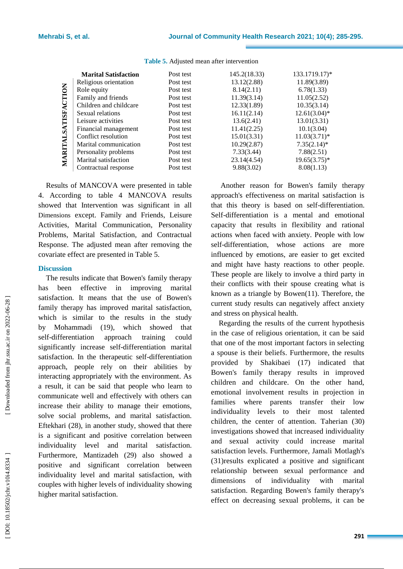|                     | <b>Marital Satisfaction</b> | Post test | 145.2(18.33) | 133.1719.17      |
|---------------------|-----------------------------|-----------|--------------|------------------|
| MARITALSATISFACTION | Religious orientation       | Post test | 13.12(2.88)  | 11.89(3.89)      |
|                     | Role equity                 | Post test | 8.14(2.11)   | 6.78(1.33)       |
|                     | Family and friends          | Post test | 11.39(3.14)  | 11.05(2.52)      |
|                     | Children and childcare      | Post test | 12.33(1.89)  | 10.35(3.14)      |
|                     | Sexual relations            | Post test | 16.11(2.14)  | 12.61(3.04)      |
|                     | Leisure activities          | Post test | 13.6(2.41)   | 13.01(3.31)      |
|                     | Financial management        | Post test | 11.41(2.25)  | 10.1(3.04)       |
|                     | Conflict resolution         | Post test | 15.01(3.31)  | 11.03(3.71)      |
|                     | Marital communication       | Post test | 10.29(2.87)  | $7.35(2.14)^{3}$ |
|                     | Personality problems        | Post test | 7.33(3.44)   | 7.88(2.51)       |
|                     | Marital satisfaction        | Post test | 23.14(4.54)  | 19.65(3.75)      |
|                     | Contractual response        | Post test | 9.88(3.02)   | 8.08(1.13)       |
|                     |                             |           |              |                  |

**Table 5.** Adjusted mean after intervention

Results of MANCOVA were presented in table 4. According to table 4 MANCOVA results showed that Intervention was significant in all Dimensions except . Family and Friends, Leisure Activities, Marital Communication, Personality Problems, Marital Satisfaction, and Contractual Response. The adjusted mean after removing the covariate effect are presented in Table 5.

### **Discussion**

The results indicate that Bowen's family therapy has been effective in improving marital satisfaction. It means that the use of Bowen's family therapy has improved marital satisfaction, which is similar to the results in the study by Mohammadi (19), which showed that self-differentiation approach training could significantly increase self-differentiation marital satisfaction. In the therapeutic self -differentiation approach, people rely on their abilities by interacting appropriately with the environment. As a result, it can be said that people who learn to communicate well and effectively with others can increase their ability to manage their emotions, solve social problems, and marital satisfaction. Eftekhari (28), in another study, showed that there is a significant and positive correlation between individuality level and marital satisfaction. Furthermore, Mantizadeh (29) also showed a positive and significant correlation between individuality level and marital satisfaction, with couples with higher levels of individuality showing higher marital satisfaction.

145.2(18.33) 133.1719.17)\*  $13.12(2.88)$  11.89(3.89)  $8.14(2.11)$  6.78(1.33)  $11.39(3.14)$  11.05(2.52)  $12.33(1.89)$  10.35(3.14)  $16.11(2.14)$   $12.61(3.04)$ \*  $13.6(2.41)$  13.01(3.31)  $11.41(2.25)$  10.1(3.04)  $15.01(3.31)$   $11.03(3.71)$ \*  $10.29(2.87)$   $7.35(2.14)$ \*  $\begin{array}{ll}\n 23.14(4.54) \\
9.88(3.02) \\
\end{array}$   $\begin{array}{ll}\n 19.65(3.75)^* \\
8.08(1.13)\n \end{array}$ 

Another reason for Bowen's family therapy approach's effectiveness on marital satisfaction is that this theory is based on self -differentiation. Self-differentiation is a mental and emotional capacity that results in flexibility and rational actions when faced with anxiety. People with low sel f-differentiation, whose actions are more influenced by emotions, are easier to get excited and might have hasty reactions to other people. These people are likely to involve a third party in their conflicts with their spouse creating what is known as a triangle by Bowen(11). Therefore, the current study results can negatively affect anxiety and stress on physical health.

Regarding the results of the current hypothesis in the case of religious orientation, it can be said that one of the most important factors in selecting a spouse is their beliefs. Furthermore, the results provided by Shakibaei (17) indicated that Bowen's family therapy results in improved children and childcare. On the other hand, emotional involvement results in projection in families where parents transfer their low individuality levels to their most talented children, the center of attention. Taherian (30) investigations showed that increased individuality and sexual activity could increase marital satisfaction levels. Furthermore, Jamali Motlagh's (31)results explicated a positive and significant relationship between sexual performance and dimensions of individuality with marital satisfaction. Regarding Bowen's family therapy's effect on decreasing sexual problems, it can be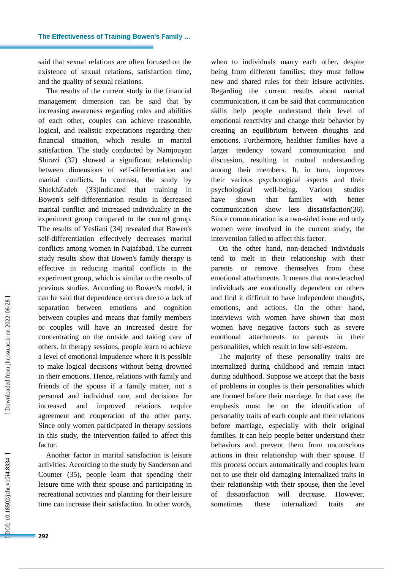said that sexual relations are often focused on the existence of sexual relations, satisfaction time,

and the quality of sexual relations. The results of the current study in the financial management dimension can be said that by increasing awareness regarding roles and abilities of each other, couples can achieve reasonable, logical, and realistic expectations regarding their financial situation, which results in marital satisfaction. The study conducted by Namjouyan Shirazi (32) showed a significant relationship between dimensions of self -differentiation and marital conflicts. In contrast, the study by ShiekhZadeh (33)indicated that training in Bowen's self-differentiation results in decreased marital conflict and increased individuality in the experiment group compared to the control group. The results of Yesliani (34) revealed that Bowen's self-differentiation effectively decreases marital conflicts among women in Najafabad. The current study results show that Bowen's family therapy is effective in reducing marital conflicts in the experiment group, which is similar to the results of previous studies. According to Bowen's model, it can be said that dependence occurs due to a lack of separation between emotions and cognition between couples and means that family members or couples will have an increased desire for concentrating on the outside and taking care of others. In therapy sessions, people learn to achieve a level of emotional impudence where it is possible to make logical decisions without being drowned in their emotions. Hence, relations with family and friends of the spouse if a family matter, not a personal and individual one, and decisions for increased and improved relations require agreement and cooperation of the other party. Since only women participated in therapy sessions in this study, the intervention failed to affect this factor.

Another factor in marital satisfaction is leisure activities. According to the study by Sanderson and Counter (35), people learn that spending their leisure time with their spouse and participating in recreational activities and planning for their leisure time can increase their satisfaction. In other words, when to individuals marry each other, despite being from different families; they must follow new and shared rules for their leisure activities. Regarding the current results about marital communication, it can be said that communication skills help people understand their level of emotional reactivity and change their behavior by creating an equilibrium between thoughts and emotions. Furthermore, healthier families have a larger tendency toward communication and discussion, resulting in mutual understanding among their members. It, in turn, improves their various psychological aspects and their psychological well Various studies have shown that families with better communication show less dissatisfaction(36). Since communication is a two -sided issue and only women were involved in the current study, the intervention failed to affect this factor.

On the other hand, non -detached individuals tend to melt in their relationship with their parents or remove themselves from these emotional attachments. It means that non -detached individuals are emotionally dependent on others and find it difficult to have independent thoughts, emotions, and actions. On the other hand, interviews with women have shown that most women have negative factors such as severe emotional attachments to parents in their personalities, which result in low self -esteem.

The majority of these personality traits are internalized during childhood and remain intact during adulthood. Suppose we accept that the basis of problems in couples is their personalities which are formed before their marriage. In that case, the emphasis must be on the identification of personality traits of each couple and their relations before marriage, especially with their original families. It can help people better understand their behaviors and prevent them from unconscious actions in their relationship with their spouse. If this process occurs automatically and couples learn not to use their old damaging internalized traits in their relationship with their spouse, then the level of dissatisfaction will decrease. However, sometimes these internalized traits are

OOI: 10.18502/jchr.v10i4.8334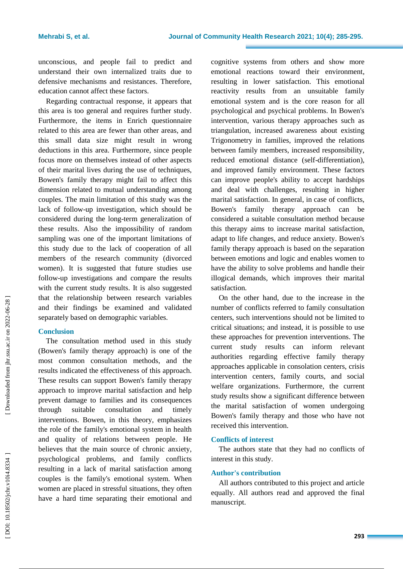unconscious, and people fail to predict and understand their own internalized traits due to defensive mechanisms and resistances. Therefore, education cannot affect these factors.

Regarding contractual response, it appears that this area is too general and requires further study. Furthermore, the items in Enrich questionnaire related to this area are fewer than other areas, and this small data size might result in wrong deductions in this area. Furthermore, since people focus more on themselves instead of other aspects of their marital lives during the use of techniques, Bowen's family therapy might fail to affect this dimension related to mutual understanding among couples. The main limitation of this study was the lack of follow -up investigation, which should be considered during the long -term generalization of these results. Also the impossibility of random sampling was one of the important limitations of this study due to the lack of cooperation of all members of the research community (divorced women). It is suggested that future studies use follow -up investigations and compare the results with the current study results. It is also suggested that the relationship between research variables and their findings be examined and validated separately based on demographic variables.

## **Conclusion**

The consultation method used in this study (Bowen's family therapy approach) is one of the most common consultation methods, and the results indicated the effectiveness of this approach. These results can support Bowen's family therapy approach to improve marital satisfaction and help prevent damage to families and its consequences through suitable consultation and timely interventions. Bowen, in this theory, emphasizes the role of the family's emotional system in health and quality of relations between people. He believes that the main source of chronic anxiety, psychological problems, and family conflicts resulting in a lack of marital satisfaction among couples is the family's emotional system. When women are placed in stressful situations, they often have a hard time separating their emotional and cognitive systems from others and show more emotional reactions toward their environment, resulting in lower satisfaction. This emotional reactivity results from an unsuitable family emotional system and is the core reason for all psychological and psychical problems. In Bowen's intervention, various therapy approaches such as triangulation, increased awareness about existing Trigonometry in families, improved the relations between family members, increased responsibility, reduced emotional distance (self -differentiation), and improved family environment. These factors can improve people's ability to accept hardships and deal with challenges, resulting in higher marital satisfaction. In general, in case of conflicts, Bowen's family therapy approach can be considered a suitable consultation method because this therapy aims to increase marital satisfaction, adapt to life changes, and reduce anxiety. Bowen's family therapy approach is based on the separation between emotions and logic and enables women to have the ability to solve problems and handle their illogical demands, which improves their marital satisfaction.

On the other hand, due to the increase in the number of conflicts referred to family consultation centers, such interventions should not be limited to critical situations; and instead, it is possible to use these approaches for prevention interventions. The current study results can inform relevant authorities regarding effective family therapy approaches applicable in consolation centers, crisis intervention centers, family courts, and social welfare organizations. Furthermore, the current study results show a significant difference between the marital satisfaction of women undergoing Bowen's family therapy and those who have not received this intervention.

## **Conflicts of interest**

The authors state that they had no conflicts of interest in this study.

## **Author's contribution**

All authors contributed to this project and article equally. All authors read and approved the final manuscript.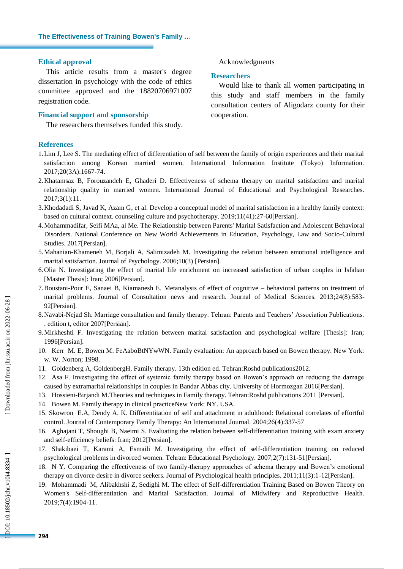#### **Ethical approval**

This article results from a master's degree dissertation in psychology with the code of ethics committee approved and the 18820706971007 registration code.

#### **Financial support and sponsorship**

The researchers themselves funded this study.

## **References**

1.Lim J, Lee S. The mediating effect of differentiation of self between the family of origin experiences and their marital satisfaction among Korean married women. International Information Institute (Tokyo) Information. 2017;20(3A):1667 -74.

Acknowledgments

Would like to thank all women participating in this study and staff members in the family consultation centers of Aligodarz county for their

**Researchers** 

cooperation.

- 2.Khatamsaz B, Forouzandeh E, Ghaderi D. Effectiveness of schema therapy on marital satisfaction and marital relationship quality in married women. International Journal of Educational and Psychological Researches. 2017;3(1):11.
- 3.Khodadadi S, Javad K, Azam G, et al. Develop a conceptual model of marital satisfaction in a healthy family context: based on cultural context. counseling culture and psychotherapy. 2019;11(41):27 -60[Persian].
- 4.Mohammadifar, Seifi MAa, al Me. The Relationship between Parents' Marital Satisfaction and Adolescent Behavioral Disorders. National Conference on New World Achievements in Education, Psychology, Law and Socio -Cultural Studies. 2017[Persian] .
- 5.Mahanian -Khameneh M, Borjali A, Salimizadeh M. Investigating the relation between emotional intelligence and marital satisfaction. Journal of Psychology. 2006;10(3) [Persian] .
- 6.Olia N. Investigating the effect of marital life enrichment on increased satisfaction of urban couples in Isfahan [Master Thesis]: Iran; 2006[Persian] .
- 7.Boustani -Pour E, Sanaei B, Kiamanesh E. Metanalysis of effect of cognitive behavioral patterns on treatment of marital problems. Journal of Consultation news and research. Journal of Medical Sciences. 2013;24(8):583 - 92[Persian] .
- 8.Navabi -Nejad Sh. Marriage consultation and family therapy. Tehran: Parents and Teachers' Association Publications. . edition t, editor 2007[Persian] .
- 9.Mirkheshti F. Investigating the relation between marital satisfaction and psychological welfare [Thesis]: Iran; 1996[Persian] .
- 10. Kerr M. E, Bowen M. FeAaboBtNYwWN. Family evaluation: An approach based on Bowen therapy. New York: w. W. Norton; 1998.
- 11. Goldenberg A, GoldenbergH. Family therapy. 13th edition ed. Tehran:Roshd publications2012.
- 12. Asa F. Investigating the effect of systemic family therapy based on Bowen's approach on reducing the damage caused by extramarital relationships in couples in Bandar Abbas city. University of Hormozgan 2016[Persian] .
- 13. Hossieni -Birjandi M.Theories and techniques in Family therapy. Tehran:Roshd publications 2011 [Persian] .
- 14. Bowen M. Family therapy in clinical practiceNew York: NY. USA.
- 15. Skowron E.A, Dendy A. K. Differentitation of self and attachment in adulthood: Relational correlates of effortful control. Journal of Contemporary Family Therapy: An International Journal. 2004;26( **4**):337 -57
- 16. Aghajani T, Shoughi B, Naeimi S. Evaluating the relation between self -differentiation training with exam anxiety and self-efficiency beliefs: Iran; 2012[Persian] .
- 17. Shakibaei T, Karami A, Esmaili M. Investigating the effect of self -differentiation training on reduced psychological problems in divorced women. Tehran: Educational Psychology. 2007;2(7):131 -51[Persian].
- 18. N Y. Comparing the effectiveness of two family -therapy approaches of schema therapy and Bowen's emotional therapy on divorce desire in divorce seekers. Journal of Psychological health principles. 2011;11(3):1-12[Persian].
- 19. Mohammadi M, Alibakhshi Z, Sedighi M. The effect of Self -differentiation Training Based on Bowen Theory on Women's Self-differentiation and Marital Satisfaction. Journal of Midwifery and Reproductive Health. 2019;7(4):1904 -11.